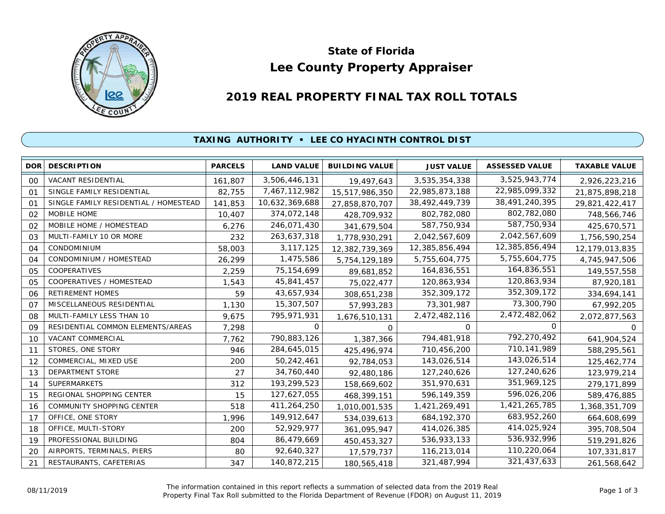

# **Lee County Property Appraiser State of Florida**

# **2019 REAL PROPERTY FINAL TAX ROLL TOTALS**

## **TAXING AUTHORITY • LEE CO HYACINTH CONTROL DIST**

| <b>DOR</b>     | <b>DESCRIPTION</b>                    | <b>PARCELS</b> | <b>LAND VALUE</b> | <b>BUILDING VALUE</b> | <b>JUST VALUE</b> | <b>ASSESSED VALUE</b> | <b>TAXABLE VALUE</b> |
|----------------|---------------------------------------|----------------|-------------------|-----------------------|-------------------|-----------------------|----------------------|
| 00             | <b>VACANT RESIDENTIAL</b>             | 161,807        | 3,506,446,131     | 19,497,643            | 3,535,354,338     | 3,525,943,774         | 2,926,223,216        |
| O <sub>1</sub> | SINGLE FAMILY RESIDENTIAL             | 82,755         | 7,467,112,982     | 15,517,986,350        | 22,985,873,188    | 22,985,099,332        | 21,875,898,218       |
| 01             | SINGLE FAMILY RESIDENTIAL / HOMESTEAD | 141,853        | 10,632,369,688    | 27,858,870,707        | 38,492,449,739    | 38,491,240,395        | 29,821,422,417       |
| 02             | MOBILE HOME                           | 10,407         | 374,072,148       | 428,709,932           | 802,782,080       | 802,782,080           | 748,566,746          |
| 02             | MOBILE HOME / HOMESTEAD               | 6,276          | 246,071,430       | 341,679,504           | 587,750,934       | 587,750,934           | 425,670,571          |
| 03             | MULTI-FAMILY 10 OR MORE               | 232            | 263,637,318       | 1,778,930,291         | 2,042,567,609     | 2,042,567,609         | 1,756,590,254        |
| 04             | <b>CONDOMINIUM</b>                    | 58,003         | 3, 117, 125       | 12,382,739,369        | 12,385,856,494    | 12,385,856,494        | 12,179,013,835       |
| 04             | CONDOMINIUM / HOMESTEAD               | 26,299         | 1,475,586         | 5,754,129,189         | 5,755,604,775     | 5,755,604,775         | 4,745,947,506        |
| 05             | COOPERATIVES                          | 2,259          | 75, 154, 699      | 89,681,852            | 164,836,551       | 164,836,551           | 149,557,558          |
| 05             | COOPERATIVES / HOMESTEAD              | 1,543          | 45,841,457        | 75,022,477            | 120,863,934       | 120,863,934           | 87,920,181           |
| 06             | <b>RETIREMENT HOMES</b>               | 59             | 43,657,934        | 308,651,238           | 352,309,172       | 352,309,172           | 334,694,141          |
| O <sub>7</sub> | MISCELLANEOUS RESIDENTIAL             | 1,130          | 15,307,507        | 57,993,283            | 73,301,987        | 73,300,790            | 67,992,205           |
| 08             | MULTI-FAMILY LESS THAN 10             | 9,675          | 795,971,931       | 1,676,510,131         | 2,472,482,116     | 2,472,482,062         | 2,072,877,563        |
| 09             | RESIDENTIAL COMMON ELEMENTS/AREAS     | 7,298          | 0                 | 0                     | 0                 | $\Omega$              |                      |
| 10             | VACANT COMMERCIAL                     | 7,762          | 790,883,126       | 1,387,366             | 794,481,918       | 792,270,492           | 641,904,524          |
| 11             | STORES, ONE STORY                     | 946            | 284,645,015       | 425,496,974           | 710,456,200       | 710,141,989           | 588,295,561          |
| 12             | COMMERCIAL, MIXED USE                 | 200            | 50,242,461        | 92,784,053            | 143,026,514       | 143,026,514           | 125,462,774          |
| 13             | DEPARTMENT STORE                      | 27             | 34,760,440        | 92,480,186            | 127,240,626       | 127,240,626           | 123,979,214          |
| 14             | <b>SUPERMARKETS</b>                   | 312            | 193,299,523       | 158,669,602           | 351,970,631       | 351,969,125           | 279,171,899          |
| 15             | REGIONAL SHOPPING CENTER              | 15             | 127,627,055       | 468,399,151           | 596,149,359       | 596,026,206           | 589,476,885          |
| 16             | COMMUNITY SHOPPING CENTER             | 518            | 411,264,250       | 1,010,001,535         | 1,421,269,491     | 1,421,265,785         | 1,368,351,709        |
| 17             | OFFICE, ONE STORY                     | 1,996          | 149,912,647       | 534,039,613           | 684, 192, 370     | 683,952,260           | 664,608,699          |
| 18             | OFFICE, MULTI-STORY                   | 200            | 52,929,977        | 361,095,947           | 414,026,385       | 414,025,924           | 395,708,504          |
| 19             | PROFESSIONAL BUILDING                 | 804            | 86,479,669        | 450,453,327           | 536,933,133       | 536,932,996           | 519,291,826          |
| 20             | AIRPORTS, TERMINALS, PIERS            | 80             | 92,640,327        | 17,579,737            | 116,213,014       | 110,220,064           | 107,331,817          |
| 21             | RESTAURANTS, CAFETERIAS               | 347            | 140,872,215       | 180,565,418           | 321,487,994       | 321,437,633           | 261,568,642          |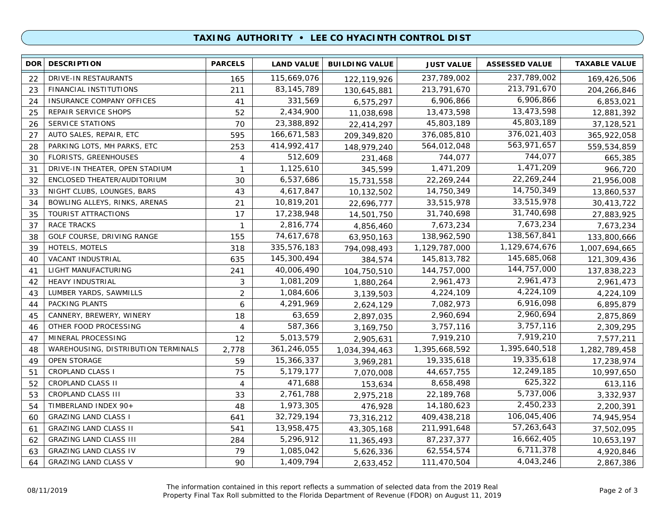### **TAXING AUTHORITY • LEE CO HYACINTH CONTROL DIST**

| <b>DOR</b> | <b>DESCRIPTION</b>                  | <b>PARCELS</b> | <b>LAND VALUE</b> | <b>BUILDING VALUE</b> | <b>JUST VALUE</b> | <b>ASSESSED VALUE</b> | <b>TAXABLE VALUE</b> |
|------------|-------------------------------------|----------------|-------------------|-----------------------|-------------------|-----------------------|----------------------|
| 22         | DRIVE-IN RESTAURANTS                | 165            | 115,669,076       | 122,119,926           | 237,789,002       | 237,789,002           | 169,426,506          |
| 23         | FINANCIAL INSTITUTIONS              | 211            | 83, 145, 789      | 130,645,881           | 213,791,670       | 213,791,670           | 204,266,846          |
| 24         | INSURANCE COMPANY OFFICES           | 41             | 331,569           | 6,575,297             | 6,906,866         | 6,906,866             | 6,853,021            |
| 25         | REPAIR SERVICE SHOPS                | 52             | 2,434,900         | 11,038,698            | 13,473,598        | 13,473,598            | 12,881,392           |
| 26         | <b>SERVICE STATIONS</b>             | 70             | 23,388,892        | 22,414,297            | 45,803,189        | 45,803,189            | 37,128,521           |
| 27         | AUTO SALES, REPAIR, ETC             | 595            | 166,671,583       | 209,349,820           | 376,085,810       | 376,021,403           | 365,922,058          |
| 28         | PARKING LOTS, MH PARKS, ETC         | 253            | 414,992,417       | 148,979,240           | 564,012,048       | 563,971,657           | 559,534,859          |
| 30         | <b>FLORISTS, GREENHOUSES</b>        | $\overline{4}$ | 512,609           | 231,468               | 744,077           | 744,077               | 665,385              |
| 31         | DRIVE-IN THEATER, OPEN STADIUM      | $\mathbf{1}$   | 1,125,610         | 345,599               | 1,471,209         | 1,471,209             | 966,720              |
| 32         | ENCLOSED THEATER/AUDITORIUM         | 30             | 6,537,686         | 15,731,558            | 22,269,244        | 22,269,244            | 21,956,008           |
| 33         | NIGHT CLUBS, LOUNGES, BARS          | 43             | 4,617,847         | 10,132,502            | 14,750,349        | 14,750,349            | 13,860,537           |
| 34         | BOWLING ALLEYS, RINKS, ARENAS       | 21             | 10,819,201        | 22,696,777            | 33,515,978        | 33,515,978            | 30,413,722           |
| 35         | TOURIST ATTRACTIONS                 | 17             | 17,238,948        | 14,501,750            | 31,740,698        | 31,740,698            | 27,883,925           |
| 37         | <b>RACE TRACKS</b>                  | $\mathbf{1}$   | 2,816,774         | 4,856,460             | 7,673,234         | 7,673,234             | 7,673,234            |
| 38         | GOLF COURSE, DRIVING RANGE          | 155            | 74,617,678        | 63,950,163            | 138,962,590       | 138,567,841           | 133,800,666          |
| 39         | HOTELS, MOTELS                      | 318            | 335,576,183       | 794,098,493           | 1,129,787,000     | 1,129,674,676         | 1,007,694,665        |
| 40         | VACANT INDUSTRIAL                   | 635            | 145,300,494       | 384,574               | 145,813,782       | 145,685,068           | 121,309,436          |
| 41         | LIGHT MANUFACTURING                 | 241            | 40,006,490        | 104,750,510           | 144,757,000       | 144,757,000           | 137,838,223          |
| 42         | HEAVY INDUSTRIAL                    | 3              | 1,081,209         | 1,880,264             | 2,961,473         | 2,961,473             | 2,961,473            |
| 43         | LUMBER YARDS, SAWMILLS              | $\overline{2}$ | 1,084,606         | 3,139,503             | 4,224,109         | 4,224,109             | 4,224,109            |
| 44         | PACKING PLANTS                      | 6              | 4,291,969         | 2,624,129             | 7,082,973         | 6,916,098             | 6,895,879            |
| 45         | CANNERY, BREWERY, WINERY            | 18             | 63,659            | 2,897,035             | 2,960,694         | 2,960,694             | 2,875,869            |
| 46         | OTHER FOOD PROCESSING               | 4              | 587,366           | 3,169,750             | 3,757,116         | 3,757,116             | 2,309,295            |
| 47         | MINERAL PROCESSING                  | 12             | 5,013,579         | 2,905,631             | 7,919,210         | 7,919,210             | 7,577,211            |
| 48         | WAREHOUSING, DISTRIBUTION TERMINALS | 2,778          | 361,246,055       | 1,034,394,463         | 1,395,668,592     | 1,395,640,518         | 1,282,789,458        |
| 49         | OPEN STORAGE                        | 59             | 15,366,337        | 3,969,281             | 19,335,618        | 19,335,618            | 17,238,974           |
| 51         | <b>CROPLAND CLASS I</b>             | 75             | 5,179,177         | 7,070,008             | 44,657,755        | 12,249,185            | 10,997,650           |
| 52         | <b>CROPLAND CLASS II</b>            | $\overline{4}$ | 471,688           | 153,634               | 8,658,498         | 625,322               | 613,116              |
| 53         | CROPLAND CLASS III                  | 33             | 2,761,788         | 2,975,218             | 22,189,768        | 5,737,006             | 3,332,937            |
| 54         | TIMBERLAND INDEX 90+                | 48             | 1,973,305         | 476,928               | 14,180,623        | 2,450,233             | 2,200,391            |
| 60         | <b>GRAZING LAND CLASS I</b>         | 641            | 32,729,194        | 73,316,212            | 409,438,218       | 106,045,406           | 74,945,954           |
| 61         | <b>GRAZING LAND CLASS II</b>        | 541            | 13,958,475        | 43,305,168            | 211,991,648       | 57,263,643            | 37,502,095           |
| 62         | <b>GRAZING LAND CLASS III</b>       | 284            | 5,296,912         | 11,365,493            | 87,237,377        | 16,662,405            | 10,653,197           |
| 63         | <b>GRAZING LAND CLASS IV</b>        | 79             | 1,085,042         | 5,626,336             | 62,554,574        | 6,711,378             | 4,920,846            |
| 64         | <b>GRAZING LAND CLASS V</b>         | 90             | 1,409,794         | 2,633,452             | 111,470,504       | 4,043,246             | 2,867,386            |